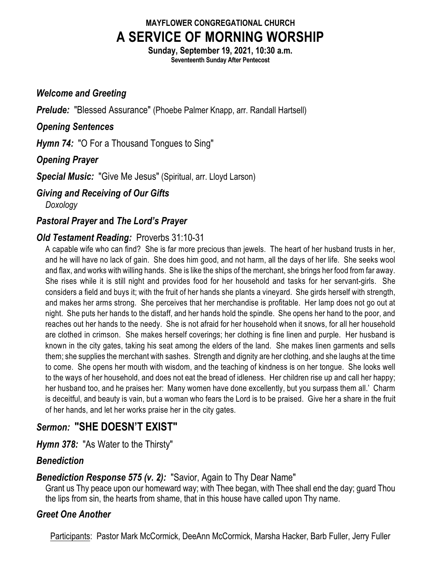# **MAYFLOWER CONGREGATIONAL CHURCH A SERVICE OF MORNING WORSHIP**

**Sunday, September 19, 2021, 10:30 a.m. Seventeenth Sunday After Pentecost**

## *Welcome and Greeting*

*Prelude:* "Blessed Assurance" (Phoebe Palmer Knapp, arr. Randall Hartsell)

## *Opening Sentences*

*Hymn 74:* "O For a Thousand Tongues to Sing"

## *Opening Prayer*

*Special Music:* "Give Me Jesus" (Spiritual, arr. Lloyd Larson)

## *Giving and Receiving of Our Gifts*

*Doxology*

## *Pastoral Prayer* **and** *The Lord's Prayer*

## *Old Testament Reading:* Proverbs 31:10-31

A capable wife who can find? She is far more precious than jewels. The heart of her husband trusts in her, and he will have no lack of gain. She does him good, and not harm, all the days of her life. She seeks wool and flax, and works with willing hands. She is like the ships of the merchant, she brings her food from far away. She rises while it is still night and provides food for her household and tasks for her servant-girls. She considers a field and buys it; with the fruit of her hands she plants a vineyard. She girds herself with strength, and makes her arms strong. She perceives that her merchandise is profitable. Her lamp does not go out at night. She puts her hands to the distaff, and her hands hold the spindle. She opens her hand to the poor, and reaches out her hands to the needy. She is not afraid for her household when it snows, for all her household are clothed in crimson. She makes herself coverings; her clothing is fine linen and purple. Her husband is known in the city gates, taking his seat among the elders of the land. She makes linen garments and sells them; she supplies the merchant with sashes. Strength and dignity are her clothing, and she laughs at the time to come. She opens her mouth with wisdom, and the teaching of kindness is on her tongue. She looks well to the ways of her household, and does not eat the bread of idleness. Her children rise up and call her happy; her husband too, and he praises her: Many women have done excellently, but you surpass them all.' Charm is deceitful, and beauty is vain, but a woman who fears the Lord is to be praised. Give her a share in the fruit of her hands, and let her works praise her in the city gates.

## *Sermon:* **"SHE DOESN'T EXIST"**

*Hymn 378:* "As Water to the Thirsty"

## *Benediction*

## *Benediction Response 575 (v. 2):* "Savior, Again to Thy Dear Name"

Grant us Thy peace upon our homeward way; with Thee began, with Thee shall end the day; guard Thou the lips from sin, the hearts from shame, that in this house have called upon Thy name.

## *Greet One Another*

Participants: Pastor Mark McCormick, DeeAnn McCormick, Marsha Hacker, Barb Fuller, Jerry Fuller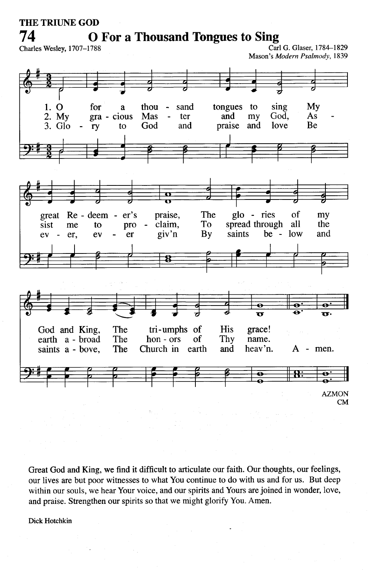### **THE TRIUNE GOD** 74

**O** For a Thousand Tongues to Sing

Charles Wesley, 1707-1788

Carl G. Glaser, 1784-1829 Mason's Modern Psalmody, 1839



Great God and King, we find it difficult to articulate our faith. Our thoughts, our feelings, our lives are but poor witnesses to what You continue to do with us and for us. But deep within our souls, we hear Your voice, and our spirits and Yours are joined in wonder, love, and praise. Strengthen our spirits so that we might glorify You. Amen.

Dick Hotchkin